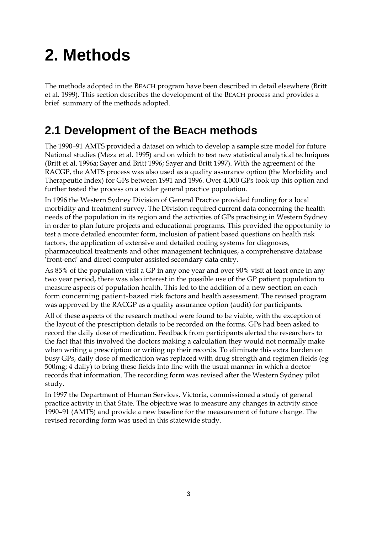# **2. Methods**

The methods adopted in the BEACH program have been described in detail elsewhere (Britt et al. 1999). This section describes the development of the BEACH process and provides a brief summary of the methods adopted.

# **2.1 Development of the BEACH methods**

The 1990–91 AMTS provided a dataset on which to develop a sample size model for future National studies (Meza et al. 1995) and on which to test new statistical analytical techniques (Britt et al. 1996a; Sayer and Britt 1996; Sayer and Britt 1997). With the agreement of the RACGP, the AMTS process was also used as a quality assurance option (the Morbidity and Therapeutic Index) for GPs between 1991 and 1996. Over 4,000 GPs took up this option and further tested the process on a wider general practice population.

In 1996 the Western Sydney Division of General Practice provided funding for a local morbidity and treatment survey. The Division required current data concerning the health needs of the population in its region and the activities of GPs practising in Western Sydney in order to plan future projects and educational programs. This provided the opportunity to test a more detailed encounter form, inclusion of patient based questions on health risk factors, the application of extensive and detailed coding systems for diagnoses, pharmaceutical treatments and other management techniques, a comprehensive database 'front-end' and direct computer assisted secondary data entry.

As 85% of the population visit a GP in any one year and over 90% visit at least once in any two year period**,** there was also interest in the possible use of the GP patient population to measure aspects of population health. This led to the addition of a new section on each form concerning patient-based risk factors and health assessment. The revised program was approved by the RACGP as a quality assurance option (audit) for participants.

All of these aspects of the research method were found to be viable, with the exception of the layout of the prescription details to be recorded on the forms. GPs had been asked to record the daily dose of medication. Feedback from participants alerted the researchers to the fact that this involved the doctors making a calculation they would not normally make when writing a prescription or writing up their records. To eliminate this extra burden on busy GPs, daily dose of medication was replaced with drug strength and regimen fields (eg 500mg; 4 daily) to bring these fields into line with the usual manner in which a doctor records that information. The recording form was revised after the Western Sydney pilot study.

In 1997 the Department of Human Services, Victoria, commissioned a study of general practice activity in that State. The objective was to measure any changes in activity since 1990–91 (AMTS) and provide a new baseline for the measurement of future change. The revised recording form was used in this statewide study.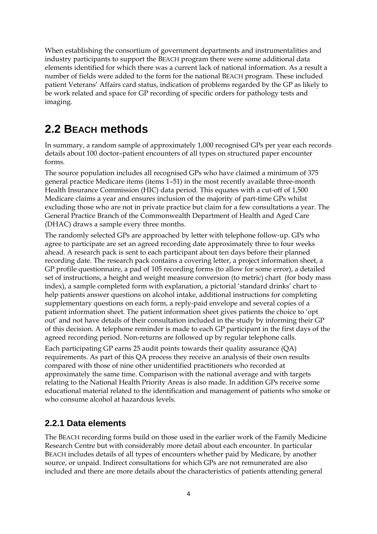When establishing the consortium of government departments and instrumentalities and industry participants to support the BEACH program there were some additional data elements identified for which there was a current lack of national information. As a result a number of fields were added to the form for the national BEACH program. These included patient Veterans' Affairs card status, indication of problems regarded by the GP as likely to be work related and space for GP recording of specific orders for pathology tests and imaging.

# **2.2 BEACH methods**

In summary, a random sample of approximately 1,000 recognised GPs per year each records details about 100 doctor–patient encounters of all types on structured paper encounter forms.

The source population includes all recognised GPs who have claimed a minimum of 375 general practice Medicare items (items 1–51) in the most recently available three-month Health Insurance Commission (HIC) data period. This equates with a cut-off of 1,500 Medicare claims a year and ensures inclusion of the majority of part-time GPs whilst excluding those who are not in private practice but claim for a few consultations a year. The General Practice Branch of the Commonwealth Department of Health and Aged Care (DHAC) draws a sample every three months.

The randomly selected GPs are approached by letter with telephone follow-up. GPs who agree to participate are set an agreed recording date approximately three to four weeks ahead. A research pack is sent to each participant about ten days before their planned recording date. The research pack contains a covering letter, a project information sheet, a GP profile questionnaire, a pad of 105 recording forms (to allow for some error), a detailed set of instructions, a height and weight measure conversion (to metric) chart (for body mass index), a sample completed form with explanation, a pictorial 'standard drinks' chart to help patients answer questions on alcohol intake, additional instructions for completing supplementary questions on each form, a reply-paid envelope and several copies of a patient information sheet. The patient information sheet gives patients the choice to 'opt out' and not have details of their consultation included in the study by informing their GP of this decision. A telephone reminder is made to each GP participant in the first days of the agreed recording period. Non-returns are followed up by regular telephone calls.

Each participating GP earns 25 audit points towards their quality assurance (QA) requirements. As part of this QA process they receive an analysis of their own results compared with those of nine other unidentified practitioners who recorded at approximately the same time. Comparison with the national average and with targets relating to the National Health Priority Areas is also made. In addition GPs receive some educational material related to the identification and management of patients who smoke or who consume alcohol at hazardous levels.

#### **2.2.1 Data elements**

The BEACH recording forms build on those used in the earlier work of the Family Medicine Research Centre but with considerably more detail about each encounter. In particular BEACH includes details of all types of encounters whether paid by Medicare, by another source, or unpaid. Indirect consultations for which GPs are not remunerated are also included and there are more details about the characteristics of patients attending general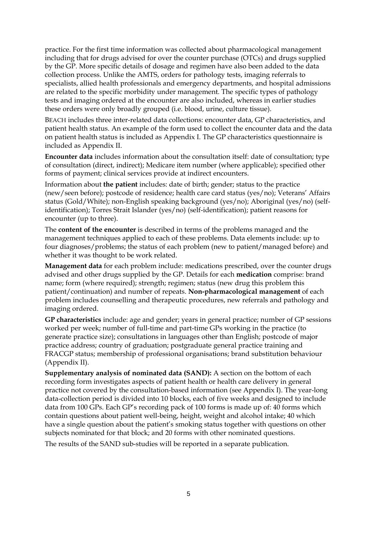practice. For the first time information was collected about pharmacological management including that for drugs advised for over the counter purchase (OTCs) and drugs supplied by the GP. More specific details of dosage and regimen have also been added to the data collection process. Unlike the AMTS, orders for pathology tests, imaging referrals to specialists, allied health professionals and emergency departments, and hospital admissions are related to the specific morbidity under management. The specific types of pathology tests and imaging ordered at the encounter are also included, whereas in earlier studies these orders were only broadly grouped (i.e. blood, urine, culture tissue).

BEACH includes three inter-related data collections: encounter data, GP characteristics, and patient health status. An example of the form used to collect the encounter data and the data on patient health status is included as Appendix I. The GP characteristics questionnaire is included as Appendix II.

**Encounter data** includes information about the consultation itself: date of consultation; type of consultation (direct, indirect); Medicare item number (where applicable); specified other forms of payment; clinical services provide at indirect encounters.

Information about **the patient** includes: date of birth; gender; status to the practice (new/seen before); postcode of residence; health care card status (yes/no); Veterans' Affairs status (Gold/White); non-English speaking background (yes/no); Aboriginal (yes/no) (selfidentification); Torres Strait Islander (yes/no) (self-identification); patient reasons for encounter (up to three).

The **content of the encounter** is described in terms of the problems managed and the management techniques applied to each of these problems. Data elements include: up to four diagnoses/problems; the status of each problem (new to patient/managed before) and whether it was thought to be work related.

**Management data** for each problem include: medications prescribed, over the counter drugs advised and other drugs supplied by the GP. Details for each **medication** comprise: brand name; form (where required); strength; regimen; status (new drug this problem this patient/continuation) and number of repeats. **Non-pharmacological management** of each problem includes counselling and therapeutic procedures, new referrals and pathology and imaging ordered.

**GP characteristics** include: age and gender; years in general practice; number of GP sessions worked per week; number of full-time and part-time GPs working in the practice (to generate practice size); consultations in languages other than English; postcode of major practice address; country of graduation; postgraduate general practice training and FRACGP status; membership of professional organisations; brand substitution behaviour (Appendix II).

**Supplementary analysis of nominated data (SAND):** A section on the bottom of each recording form investigates aspects of patient health or health care delivery in general practice not covered by the consultation-based information (see Appendix I). The year-long data-collection period is divided into 10 blocks, each of five weeks and designed to include data from 100 GPs. Each GP's recording pack of 100 forms is made up of: 40 forms which contain questions about patient well-being, height, weight and alcohol intake; 40 which have a single question about the patient's smoking status together with questions on other subjects nominated for that block; and 20 forms with other nominated questions.

The results of the SAND sub-studies will be reported in a separate publication.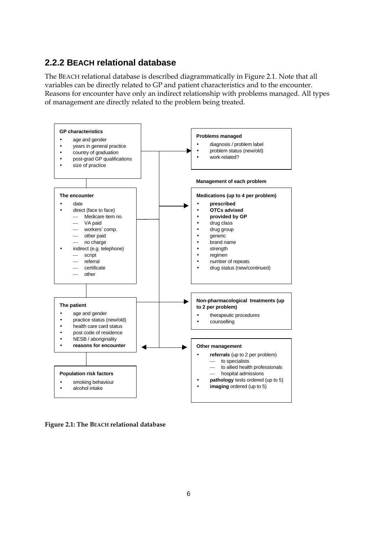## **2.2.2 BEACH relational database**

The BEACH relational database is described diagrammatically in Figure 2.1. Note that all variables can be directly related to GP and patient characteristics and to the encounter. Reasons for encounter have only an indirect relationship with problems managed. All types of management are directly related to the problem being treated.



**Figure 2.1: The BEACH relational database**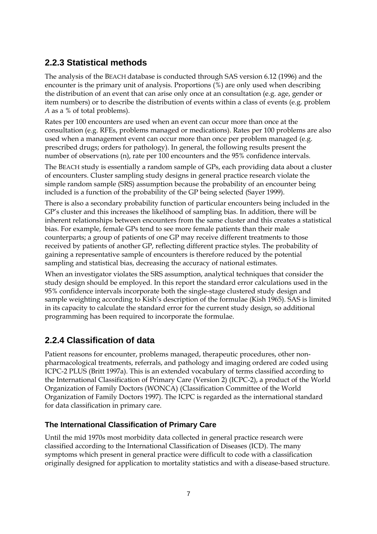# **2.2.3 Statistical methods**

The analysis of the BEACH database is conducted through SAS version 6.12 (1996) and the encounter is the primary unit of analysis. Proportions (%) are only used when describing the distribution of an event that can arise only once at an consultation (e.g. age, gender or item numbers) or to describe the distribution of events within a class of events (e.g. problem *A* as a % of total problems).

Rates per 100 encounters are used when an event can occur more than once at the consultation (e.g. RFEs, problems managed or medications). Rates per 100 problems are also used when a management event can occur more than once per problem managed (e.g. prescribed drugs; orders for pathology). In general, the following results present the number of observations (n), rate per 100 encounters and the 95% confidence intervals.

The BEACH study is essentially a random sample of GPs, each providing data about a cluster of encounters. Cluster sampling study designs in general practice research violate the simple random sample (SRS) assumption because the probability of an encounter being included is a function of the probability of the GP being selected (Sayer 1999).

There is also a secondary probability function of particular encounters being included in the GP's cluster and this increases the likelihood of sampling bias. In addition, there will be inherent relationships between encounters from the same cluster and this creates a statistical bias. For example, female GPs tend to see more female patients than their male counterparts; a group of patients of one GP may receive different treatments to those received by patients of another GP, reflecting different practice styles. The probability of gaining a representative sample of encounters is therefore reduced by the potential sampling and statistical bias, decreasing the accuracy of national estimates.

When an investigator violates the SRS assumption, analytical techniques that consider the study design should be employed. In this report the standard error calculations used in the 95% confidence intervals incorporate both the single-stage clustered study design and sample weighting according to Kish's description of the formulae (Kish 1965). SAS is limited in its capacity to calculate the standard error for the current study design, so additional programming has been required to incorporate the formulae.

## **2.2.4 Classification of data**

Patient reasons for encounter, problems managed, therapeutic procedures, other nonpharmacological treatments, referrals, and pathology and imaging ordered are coded using ICPC-2 PLUS (Britt 1997a). This is an extended vocabulary of terms classified according to the International Classification of Primary Care (Version 2) (ICPC-2), a product of the World Organization of Family Doctors (WONCA) (Classification Committee of the World Organization of Family Doctors 1997). The ICPC is regarded as the international standard for data classification in primary care.

#### **The International Classification of Primary Care**

Until the mid 1970s most morbidity data collected in general practice research were classified according to the International Classification of Diseases (ICD). The many symptoms which present in general practice were difficult to code with a classification originally designed for application to mortality statistics and with a disease-based structure.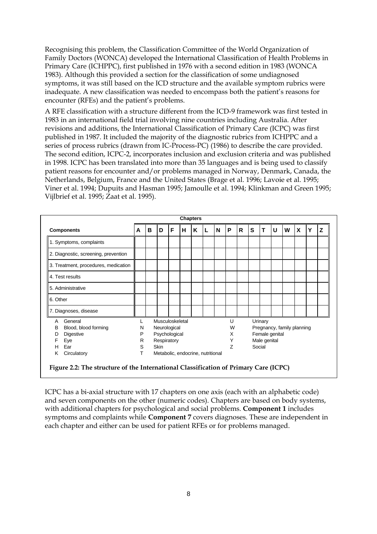Recognising this problem, the Classification Committee of the World Organization of Family Doctors (WONCA) developed the International Classification of Health Problems in Primary Care (ICHPPC), first published in 1976 with a second edition in 1983 (WONCA 1983). Although this provided a section for the classification of some undiagnosed symptoms, it was still based on the ICD structure and the available symptom rubrics were inadequate. A new classification was needed to encompass both the patient's reasons for encounter (RFEs) and the patient's problems.

A RFE classification with a structure different from the ICD-9 framework was first tested in 1983 in an international field trial involving nine countries including Australia. After revisions and additions, the International Classification of Primary Care (ICPC) was first published in 1987. It included the majority of the diagnostic rubrics from ICHPPC and a series of process rubrics (drawn from IC-Process-PC) (1986) to describe the care provided. The second edition, ICPC-2, incorporates inclusion and exclusion criteria and was published in 1998. ICPC has been translated into more than 35 languages and is being used to classify patient reasons for encounter and/or problems managed in Norway, Denmark, Canada, the Netherlands, Belgium, France and the United States (Brage et al. 1996; Lavoie et al. 1995; Viner et al. 1994; Dupuits and Hasman 1995; Jamoulle et al. 1994; Klinkman and Green 1995; Vijlbrief et al. 1995; Zaat et al. 1995).

| <b>Chapters</b>                      |   |   |                                   |   |   |   |  |   |   |   |                            |   |   |   |   |   |   |
|--------------------------------------|---|---|-----------------------------------|---|---|---|--|---|---|---|----------------------------|---|---|---|---|---|---|
| <b>Components</b>                    | A | в | D                                 | F | н | Κ |  | N | P | R | S                          | т | U | W | X | Y | Z |
| 1. Symptoms, complaints              |   |   |                                   |   |   |   |  |   |   |   |                            |   |   |   |   |   |   |
| 2. Diagnostic, screening, prevention |   |   |                                   |   |   |   |  |   |   |   |                            |   |   |   |   |   |   |
| 3. Treatment, procedures, medication |   |   |                                   |   |   |   |  |   |   |   |                            |   |   |   |   |   |   |
| 4. Test results                      |   |   |                                   |   |   |   |  |   |   |   |                            |   |   |   |   |   |   |
| 5. Administrative                    |   |   |                                   |   |   |   |  |   |   |   |                            |   |   |   |   |   |   |
| 6. Other                             |   |   |                                   |   |   |   |  |   |   |   |                            |   |   |   |   |   |   |
| 7. Diagnoses, disease                |   |   |                                   |   |   |   |  |   |   |   |                            |   |   |   |   |   |   |
| General<br>A                         |   |   | Musculoskeletal                   |   |   |   |  |   | U |   | Urinary                    |   |   |   |   |   |   |
| Blood, blood forming<br>в            | N |   | Neurological                      |   |   |   |  |   | W |   | Pregnancy, family planning |   |   |   |   |   |   |
| Digestive<br>D                       | Ρ |   | Psychological                     |   |   |   |  |   | х |   | Female genital             |   |   |   |   |   |   |
| Eye<br>F                             | R |   | Respiratory                       |   |   |   |  |   | Y |   | Male genital               |   |   |   |   |   |   |
| Ear<br>н                             | S |   | <b>Skin</b>                       |   |   |   |  |   | Z |   | Social                     |   |   |   |   |   |   |
| Circulatory<br>Κ                     | т |   | Metabolic, endocrine, nutritional |   |   |   |  |   |   |   |                            |   |   |   |   |   |   |

ICPC has a bi-axial structure with 17 chapters on one axis (each with an alphabetic code) and seven components on the other (numeric codes). Chapters are based on body systems, with additional chapters for psychological and social problems. **Component 1** includes symptoms and complaints while **Component 7** covers diagnoses. These are independent in each chapter and either can be used for patient RFEs or for problems managed.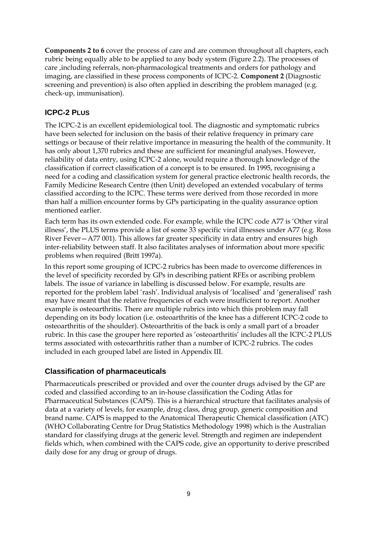**Components 2 to 6** cover the process of care and are common throughout all chapters, each rubric being equally able to be applied to any body system (Figure 2.2). The processes of care ,including referrals, non-pharmacological treatments and orders for pathology and imaging, are classified in these process components of ICPC-2. **Component 2** (Diagnostic screening and prevention) is also often applied in describing the problem managed (e.g. check-up, immunisation).

#### **ICPC-2 PLUS**

The ICPC-2 is an excellent epidemiological tool. The diagnostic and symptomatic rubrics have been selected for inclusion on the basis of their relative frequency in primary care settings or because of their relative importance in measuring the health of the community. It has only about 1,370 rubrics and these are sufficient for meaningful analyses. However, reliability of data entry, using ICPC-2 alone, would require a thorough knowledge of the classification if correct classification of a concept is to be ensured. In 1995, recognising a need for a coding and classification system for general practice electronic health records, the Family Medicine Research Centre (then Unit) developed an extended vocabulary of terms classified according to the ICPC. These terms were derived from those recorded in more than half a million encounter forms by GPs participating in the quality assurance option mentioned earlier.

Each term has its own extended code. For example, while the ICPC code A77 is 'Other viral illness', the PLUS terms provide a list of some 33 specific viral illnesses under A77 (e.g. Ross River Fever—A77 001). This allows far greater specificity in data entry and ensures high inter-reliability between staff. It also facilitates analyses of information about more specific problems when required (Britt 1997a).

In this report some grouping of ICPC-2 rubrics has been made to overcome differences in the level of specificity recorded by GPs in describing patient RFEs or ascribing problem labels. The issue of variance in labelling is discussed below. For example, results are reported for the problem label 'rash'. Individual analysis of 'localised' and 'generalised' rash may have meant that the relative frequencies of each were insufficient to report. Another example is osteoarthritis. There are multiple rubrics into which this problem may fall depending on its body location (i.e. osteoarthritis of the knee has a different ICPC-2 code to osteoarthritis of the shoulder). Osteoarthritis of the back is only a small part of a broader rubric. In this case the grouper here reported as 'osteoarthritis' includes all the ICPC-2 PLUS terms associated with osteoarthritis rather than a number of ICPC-2 rubrics. The codes included in each grouped label are listed in Appendix III.

#### **Classification of pharmaceuticals**

Pharmaceuticals prescribed or provided and over the counter drugs advised by the GP are coded and classified according to an in-house classification the Coding Atlas for Pharmaceutical Substances (CAPS). This is a hierarchical structure that facilitates analysis of data at a variety of levels, for example, drug class, drug group, generic composition and brand name. CAPS is mapped to the Anatomical Therapeutic Chemical classification (ATC) (WHO Collaborating Centre for Drug Statistics Methodology 1998) which is the Australian standard for classifying drugs at the generic level. Strength and regimen are independent fields which, when combined with the CAPS code, give an opportunity to derive prescribed daily dose for any drug or group of drugs.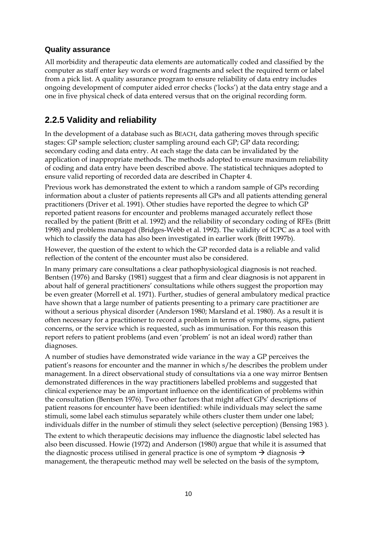#### **Quality assurance**

All morbidity and therapeutic data elements are automatically coded and classified by the computer as staff enter key words or word fragments and select the required term or label from a pick list. A quality assurance program to ensure reliability of data entry includes ongoing development of computer aided error checks ('locks') at the data entry stage and a one in five physical check of data entered versus that on the original recording form.

### **2.2.5 Validity and reliability**

In the development of a database such as BEACH, data gathering moves through specific stages: GP sample selection; cluster sampling around each GP; GP data recording; secondary coding and data entry. At each stage the data can be invalidated by the application of inappropriate methods. The methods adopted to ensure maximum reliability of coding and data entry have been described above. The statistical techniques adopted to ensure valid reporting of recorded data are described in Chapter 4.

Previous work has demonstrated the extent to which a random sample of GPs recording information about a cluster of patients represents all GPs and all patients attending general practitioners (Driver et al. 1991). Other studies have reported the degree to which GP reported patient reasons for encounter and problems managed accurately reflect those recalled by the patient (Britt et al. 1992) and the reliability of secondary coding of RFEs (Britt 1998) and problems managed (Bridges-Webb et al. 1992). The validity of ICPC as a tool with which to classify the data has also been investigated in earlier work (Britt 1997b).

However, the question of the extent to which the GP recorded data is a reliable and valid reflection of the content of the encounter must also be considered.

In many primary care consultations a clear pathophysiological diagnosis is not reached. Bentsen (1976) and Barsky (1981) suggest that a firm and clear diagnosis is not apparent in about half of general practitioners' consultations while others suggest the proportion may be even greater (Morrell et al. 1971). Further, studies of general ambulatory medical practice have shown that a large number of patients presenting to a primary care practitioner are without a serious physical disorder (Anderson 1980; Marsland et al. 1980). As a result it is often necessary for a practitioner to record a problem in terms of symptoms, signs, patient concerns, or the service which is requested, such as immunisation. For this reason this report refers to patient problems (and even 'problem' is not an ideal word) rather than diagnoses.

A number of studies have demonstrated wide variance in the way a GP perceives the patient's reasons for encounter and the manner in which s/he describes the problem under management. In a direct observational study of consultations via a one way mirror Bentsen demonstrated differences in the way practitioners labelled problems and suggested that clinical experience may be an important influence on the identification of problems within the consultation (Bentsen 1976). Two other factors that might affect GPs' descriptions of patient reasons for encounter have been identified: while individuals may select the same stimuli, some label each stimulus separately while others cluster them under one label; individuals differ in the number of stimuli they select (selective perception) (Bensing 1983 ).

The extent to which therapeutic decisions may influence the diagnostic label selected has also been discussed. Howie (1972) and Anderson (1980) argue that while it is assumed that the diagnostic process utilised in general practice is one of symptom  $\rightarrow$  diagnosis  $\rightarrow$ management, the therapeutic method may well be selected on the basis of the symptom,